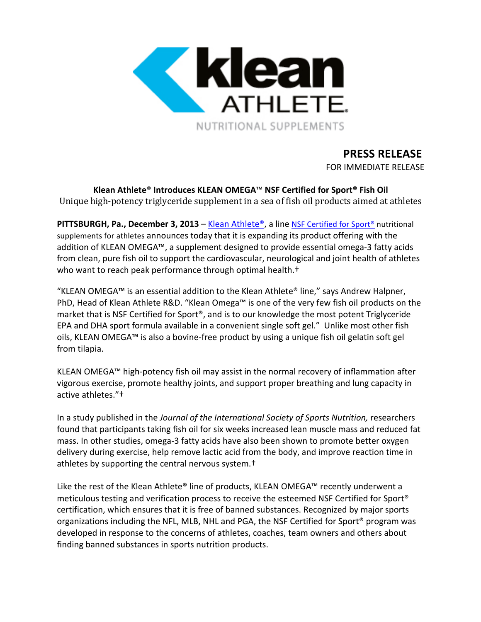

# **PRESS RELEASE**

FOR IMMEDIATE RELEASE

**Klean Athlete**® **Introduces KLEAN OMEGA**™ **NSF Certified for Sport® Fish Oil** Unique high-potency triglyceride supplement in a sea of fish oil products aimed at athletes

**PITTSBURGH, Pa., December 3, 2013** – Klean Athlete®, a line NSF Certified for Sport® nutritional supplements for athletes announces today that it is expanding its product offering with the addition of KLEAN OMEGA™, a supplement designed to provide essential omega-3 fatty acids from clean, pure fish oil to support the cardiovascular, neurological and joint health of athletes who want to reach peak performance through optimal health.<sup>†</sup>

"KLEAN OMEGA™ is an essential addition to the Klean Athlete® line," says Andrew Halpner, PhD, Head of Klean Athlete R&D. "Klean Omega™ is one of the very few fish oil products on the market that is NSF Certified for Sport®, and is to our knowledge the most potent Triglyceride EPA and DHA sport formula available in a convenient single soft gel." Unlike most other fish oils, KLEAN OMEGA™ is also a bovine-free product by using a unique fish oil gelatin soft gel from tilapia.

KLEAN OMEGA™ high-potency fish oil may assist in the normal recovery of inflammation after vigorous exercise, promote healthy joints, and support proper breathing and lung capacity in active athletes."<sup>+</sup>

In a study published in the *Journal of the International Society of Sports Nutrition*, researchers found that participants taking fish oil for six weeks increased lean muscle mass and reduced fat mass. In other studies, omega-3 fatty acids have also been shown to promote better oxygen delivery during exercise, help remove lactic acid from the body, and improve reaction time in athletes by supporting the central nervous system.<sup>†</sup>

Like the rest of the Klean Athlete® line of products, KLEAN OMEGA™ recently underwent a meticulous testing and verification process to receive the esteemed NSF Certified for Sport<sup>®</sup> certification, which ensures that it is free of banned substances. Recognized by major sports organizations including the NFL, MLB, NHL and PGA, the NSF Certified for Sport<sup>®</sup> program was developed in response to the concerns of athletes, coaches, team owners and others about finding banned substances in sports nutrition products.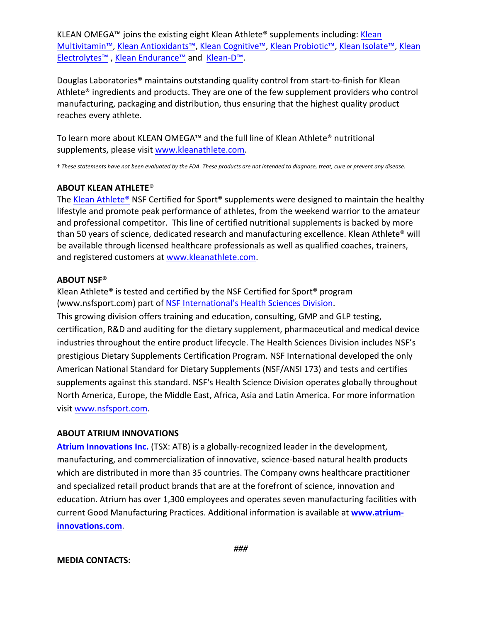KLEAN OMEGA<sup>™</sup> joins the existing eight Klean Athlete<sup>®</sup> supplements including: Klean Multivitamin™, Klean Antioxidants™, Klean Cognitive™, Klean Probiotic™, Klean Isolate™, Klean Electrolytes™ , Klean Endurance™ and Klean-D™.

Douglas Laboratories<sup>®</sup> maintains outstanding quality control from start-to-finish for Klean Athlete<sup>®</sup> ingredients and products. They are one of the few supplement providers who control manufacturing, packaging and distribution, thus ensuring that the highest quality product reaches every athlete.

To learn more about KLEAN OMEGA™ and the full line of Klean Athlete® nutritional supplements, please visit www.kleanathlete.com.

† *These statements have not been evaluated by the FDA. These products are not intended to diagnose, treat, cure or prevent any disease.*

### **ABOUT KLEAN ATHLETE®**

The Klean Athlete<sup>®</sup> NSF Certified for Sport<sup>®</sup> supplements were designed to maintain the healthy lifestyle and promote peak performance of athletes, from the weekend warrior to the amateur and professional competitor. This line of certified nutritional supplements is backed by more than 50 years of science, dedicated research and manufacturing excellence. Klean Athlete® will be available through licensed healthcare professionals as well as qualified coaches, trainers, and registered customers at www.kleanathlete.com.

### **ABOUT NSF®**

Klean Athlete<sup>®</sup> is tested and certified by the NSF Certified for Sport<sup>®</sup> program (www.nsfsport.com) part of NSF International's Health Sciences Division. This growing division offers training and education, consulting, GMP and GLP testing, certification, R&D and auditing for the dietary supplement, pharmaceutical and medical device industries throughout the entire product lifecycle. The Health Sciences Division includes NSF's prestigious Dietary Supplements Certification Program. NSF International developed the only American National Standard for Dietary Supplements (NSF/ANSI 173) and tests and certifies supplements against this standard. NSF's Health Science Division operates globally throughout North America, Europe, the Middle East, Africa, Asia and Latin America. For more information visit www.nsfsport.com.

## **ABOUT ATRIUM INNOVATIONS**

**Atrium Innovations Inc.** (TSX: ATB) is a globally-recognized leader in the development, manufacturing, and commercialization of innovative, science-based natural health products which are distributed in more than 35 countries. The Company owns healthcare practitioner and specialized retail product brands that are at the forefront of science, innovation and education. Atrium has over 1,300 employees and operates seven manufacturing facilities with current Good Manufacturing Practices. Additional information is available at www.atrium**innovations.com**.

#### **MEDIA CONTACTS:**